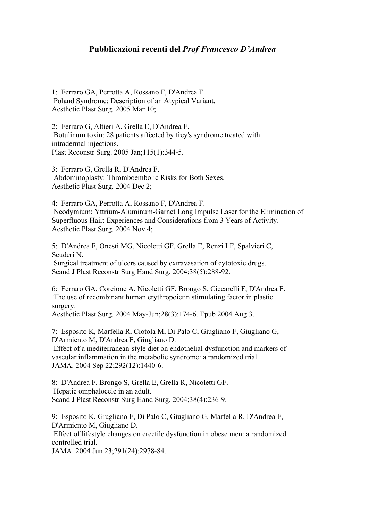## **Pubblicazioni recenti del** *Prof Francesco D'Andrea*

1: Ferraro GA, Perrotta A, Rossano F, D'Andrea F. Poland Syndrome: Description of an Atypical Variant. Aesthetic Plast Surg. 2005 Mar 10;

2: Ferraro G, Altieri A, Grella E, D'Andrea F. Botulinum toxin: 28 patients affected by frey's syndrome treated with intradermal injections. Plast Reconstr Surg. 2005 Jan;115(1):344-5.

3: Ferraro G, Grella R, D'Andrea F. Abdominoplasty: Thromboembolic Risks for Both Sexes. Aesthetic Plast Surg. 2004 Dec 2;

4: Ferraro GA, Perrotta A, Rossano F, D'Andrea F. Neodymium: Yttrium-Aluminum-Garnet Long Impulse Laser for the Elimination of Superfluous Hair: Experiences and Considerations from 3 Years of Activity. Aesthetic Plast Surg. 2004 Nov 4;

5: D'Andrea F, Onesti MG, Nicoletti GF, Grella E, Renzi LF, Spalvieri C, Scuderi N.

Surgical treatment of ulcers caused by extravasation of cytotoxic drugs. Scand J Plast Reconstr Surg Hand Surg. 2004;38(5):288-92.

6: Ferraro GA, Corcione A, Nicoletti GF, Brongo S, Ciccarelli F, D'Andrea F. The use of recombinant human erythropoietin stimulating factor in plastic surgery.

Aesthetic Plast Surg. 2004 May-Jun;28(3):174-6. Epub 2004 Aug 3.

7: Esposito K, Marfella R, Ciotola M, Di Palo C, Giugliano F, Giugliano G, D'Armiento M, D'Andrea F, Giugliano D.

Effect of a mediterranean-style diet on endothelial dysfunction and markers of vascular inflammation in the metabolic syndrome: a randomized trial. JAMA. 2004 Sep 22;292(12):1440-6.

8: D'Andrea F, Brongo S, Grella E, Grella R, Nicoletti GF. Hepatic omphalocele in an adult. Scand J Plast Reconstr Surg Hand Surg. 2004;38(4):236-9.

9: Esposito K, Giugliano F, Di Palo C, Giugliano G, Marfella R, D'Andrea F, D'Armiento M, Giugliano D.

Effect of lifestyle changes on erectile dysfunction in obese men: a randomized controlled trial.

JAMA. 2004 Jun 23;291(24):2978-84.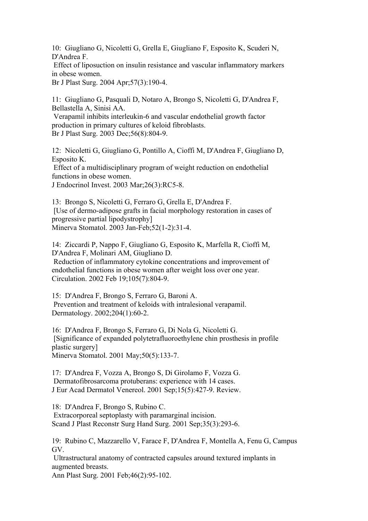10: Giugliano G, Nicoletti G, Grella E, Giugliano F, Esposito K, Scuderi N, D'Andrea F.

Effect of liposuction on insulin resistance and vascular inflammatory markers in obese women.

Br J Plast Surg. 2004 Apr;57(3):190-4.

11: Giugliano G, Pasquali D, Notaro A, Brongo S, Nicoletti G, D'Andrea F, Bellastella A, Sinisi AA.

Verapamil inhibits interleukin-6 and vascular endothelial growth factor production in primary cultures of keloid fibroblasts. Br J Plast Surg. 2003 Dec;56(8):804-9.

12: Nicoletti G, Giugliano G, Pontillo A, Cioffi M, D'Andrea F, Giugliano D, Esposito K.

Effect of a multidisciplinary program of weight reduction on endothelial functions in obese women.

J Endocrinol Invest. 2003 Mar;26(3):RC5-8.

13: Brongo S, Nicoletti G, Ferraro G, Grella E, D'Andrea F. [Use of dermo-adipose grafts in facial morphology restoration in cases of progressive partial lipodystrophy] Minerva Stomatol. 2003 Jan-Feb;52(1-2):31-4.

14: Ziccardi P, Nappo F, Giugliano G, Esposito K, Marfella R, Cioffi M, D'Andrea F, Molinari AM, Giugliano D. Reduction of inflammatory cytokine concentrations and improvement of endothelial functions in obese women after weight loss over one year. Circulation. 2002 Feb 19;105(7):804-9.

15: D'Andrea F, Brongo S, Ferraro G, Baroni A. Prevention and treatment of keloids with intralesional verapamil. Dermatology. 2002;204(1):60-2.

16: D'Andrea F, Brongo S, Ferraro G, Di Nola G, Nicoletti G. [Significance of expanded polytetrafluoroethylene chin prosthesis in profile plastic surgery] Minerva Stomatol. 2001 May;50(5):133-7.

17: D'Andrea F, Vozza A, Brongo S, Di Girolamo F, Vozza G. Dermatofibrosarcoma protuberans: experience with 14 cases. J Eur Acad Dermatol Venereol. 2001 Sep;15(5):427-9. Review.

18: D'Andrea F, Brongo S, Rubino C. Extracorporeal septoplasty with paramarginal incision. Scand J Plast Reconstr Surg Hand Surg. 2001 Sep;35(3):293-6.

19: Rubino C, Mazzarello V, Farace F, D'Andrea F, Montella A, Fenu G, Campus GV.

Ultrastructural anatomy of contracted capsules around textured implants in augmented breasts. Ann Plast Surg. 2001 Feb;46(2):95-102.